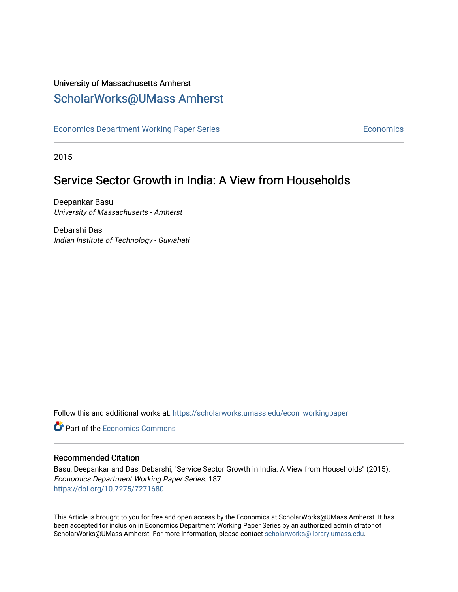## University of Massachusetts Amherst [ScholarWorks@UMass Amherst](https://scholarworks.umass.edu/)

[Economics Department Working Paper Series](https://scholarworks.umass.edu/econ_workingpaper) **Economics** Economics

2015

# Service Sector Growth in India: A View from Households

Deepankar Basu University of Massachusetts - Amherst

Debarshi Das Indian Institute of Technology - Guwahati

Follow this and additional works at: [https://scholarworks.umass.edu/econ\\_workingpaper](https://scholarworks.umass.edu/econ_workingpaper?utm_source=scholarworks.umass.edu%2Fecon_workingpaper%2F187&utm_medium=PDF&utm_campaign=PDFCoverPages) 

**C** Part of the [Economics Commons](http://network.bepress.com/hgg/discipline/340?utm_source=scholarworks.umass.edu%2Fecon_workingpaper%2F187&utm_medium=PDF&utm_campaign=PDFCoverPages)

#### Recommended Citation

Basu, Deepankar and Das, Debarshi, "Service Sector Growth in India: A View from Households" (2015). Economics Department Working Paper Series. 187. <https://doi.org/10.7275/7271680>

This Article is brought to you for free and open access by the Economics at ScholarWorks@UMass Amherst. It has been accepted for inclusion in Economics Department Working Paper Series by an authorized administrator of ScholarWorks@UMass Amherst. For more information, please contact [scholarworks@library.umass.edu.](mailto:scholarworks@library.umass.edu)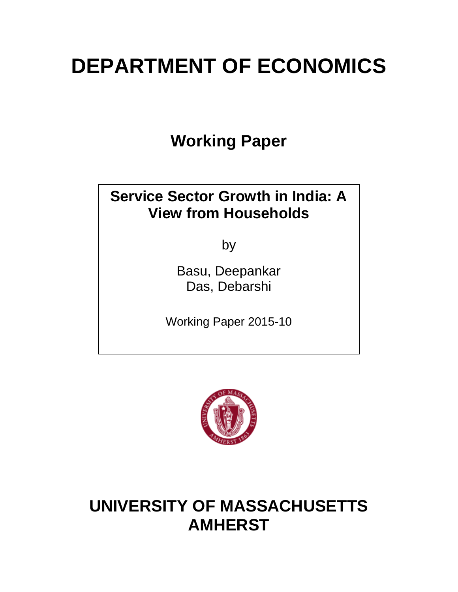# **DEPARTMENT OF ECONOMICS**

**Working Paper**

# **Service Sector Growth in India: A View from Households**

by

Basu, Deepankar Das, Debarshi

Working Paper 2015-10



# **UNIVERSITY OF MASSACHUSETTS AMHERST**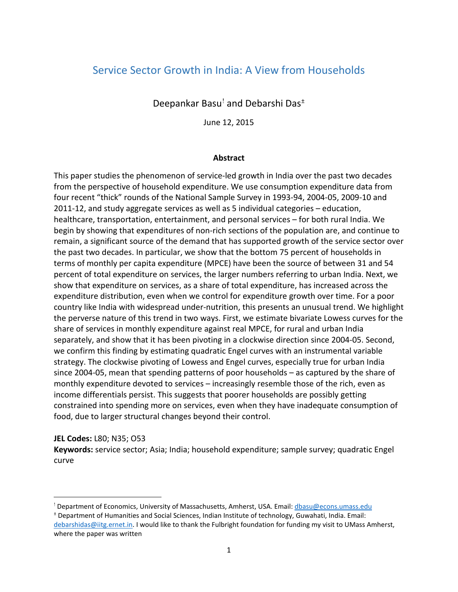### Service Sector Growth in India: A View from Households

Deepankar Basu[!](#page-2-0) and Debarshi Das[±](#page-2-1)

June 12, 2015

#### **Abstract**

This paper studies the phenomenon of service-led growth in India over the past two decades from the perspective of household expenditure. We use consumption expenditure data from four recent "thick" rounds of the National Sample Survey in 1993-94, 2004-05, 2009-10 and 2011-12, and study aggregate services as well as 5 individual categories – education, healthcare, transportation, entertainment, and personal services – for both rural India. We begin by showing that expenditures of non-rich sections of the population are, and continue to remain, a significant source of the demand that has supported growth of the service sector over the past two decades. In particular, we show that the bottom 75 percent of households in terms of monthly per capita expenditure (MPCE) have been the source of between 31 and 54 percent of total expenditure on services, the larger numbers referring to urban India. Next, we show that expenditure on services, as a share of total expenditure, has increased across the expenditure distribution, even when we control for expenditure growth over time. For a poor country like India with widespread under-nutrition, this presents an unusual trend. We highlight the perverse nature of this trend in two ways. First, we estimate bivariate Lowess curves for the share of services in monthly expenditure against real MPCE, for rural and urban India separately, and show that it has been pivoting in a clockwise direction since 2004-05. Second, we confirm this finding by estimating quadratic Engel curves with an instrumental variable strategy. The clockwise pivoting of Lowess and Engel curves, especially true for urban India since 2004-05, mean that spending patterns of poor households – as captured by the share of monthly expenditure devoted to services – increasingly resemble those of the rich, even as income differentials persist. This suggests that poorer households are possibly getting constrained into spending more on services, even when they have inadequate consumption of food, due to larger structural changes beyond their control.

#### **JEL Codes:** L80; N35; O53

l

**Keywords:** service sector; Asia; India; household expenditure; sample survey; quadratic Engel curve

<span id="page-2-0"></span><sup>!</sup> Department of Economics, University of Massachusetts, Amherst, USA. Email: dbasu@econs.umass.edu

<span id="page-2-1"></span><sup>±</sup> Department of Humanities and Social Sciences, Indian Institute of technology, Guwahati, India. Email: [debarshidas@iitg.ernet.in.](mailto:debarshidas@iitg.ernet.in) I would like to thank the Fulbright foundation for funding my visit to UMass Amherst, where the paper was written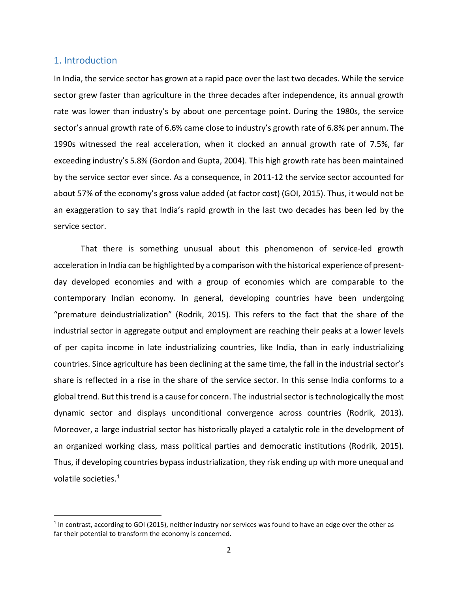#### 1. Introduction

In India, the service sector has grown at a rapid pace over the last two decades. While the service sector grew faster than agriculture in the three decades after independence, its annual growth rate was lower than industry's by about one percentage point. During the 1980s, the service sector's annual growth rate of 6.6% came close to industry's growth rate of 6.8% per annum. The 1990s witnessed the real acceleration, when it clocked an annual growth rate of 7.5%, far exceeding industry's 5.8% (Gordon and Gupta, 2004). This high growth rate has been maintained by the service sector ever since. As a consequence, in 2011-12 the service sector accounted for about 57% of the economy's gross value added (at factor cost) (GOI, 2015). Thus, it would not be an exaggeration to say that India's rapid growth in the last two decades has been led by the service sector.

That there is something unusual about this phenomenon of service-led growth acceleration in India can be highlighted by a comparison with the historical experience of presentday developed economies and with a group of economies which are comparable to the contemporary Indian economy. In general, developing countries have been undergoing "premature deindustrialization" (Rodrik, 2015). This refers to the fact that the share of the industrial sector in aggregate output and employment are reaching their peaks at a lower levels of per capita income in late industrializing countries, like India, than in early industrializing countries. Since agriculture has been declining at the same time, the fall in the industrial sector's share is reflected in a rise in the share of the service sector. In this sense India conforms to a global trend. But this trend is a cause for concern. The industrial sector is technologically the most dynamic sector and displays unconditional convergence across countries (Rodrik, 2013). Moreover, a large industrial sector has historically played a catalytic role in the development of an organized working class, mass political parties and democratic institutions (Rodrik, 2015). Thus, if developing countries bypass industrialization, they risk ending up with more unequal and volatile societies.<sup>[1](#page-3-0)</sup>

<span id="page-3-0"></span> $1$  In contrast, according to GOI (2015), neither industry nor services was found to have an edge over the other as far their potential to transform the economy is concerned.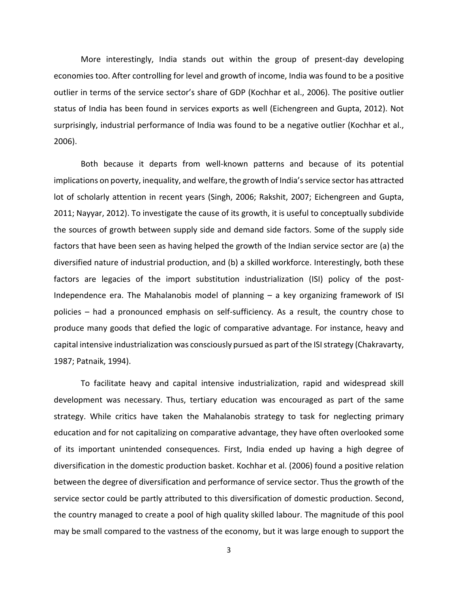More interestingly, India stands out within the group of present-day developing economies too. After controlling for level and growth of income, India was found to be a positive outlier in terms of the service sector's share of GDP (Kochhar et al., 2006). The positive outlier status of India has been found in services exports as well (Eichengreen and Gupta, 2012). Not surprisingly, industrial performance of India was found to be a negative outlier (Kochhar et al., 2006).

Both because it departs from well-known patterns and because of its potential implications on poverty, inequality, and welfare, the growth of India's service sector has attracted lot of scholarly attention in recent years (Singh, 2006; Rakshit, 2007; Eichengreen and Gupta, 2011; Nayyar, 2012). To investigate the cause of its growth, it is useful to conceptually subdivide the sources of growth between supply side and demand side factors. Some of the supply side factors that have been seen as having helped the growth of the Indian service sector are (a) the diversified nature of industrial production, and (b) a skilled workforce. Interestingly, both these factors are legacies of the import substitution industrialization (ISI) policy of the post-Independence era. The Mahalanobis model of planning – a key organizing framework of ISI policies – had a pronounced emphasis on self-sufficiency. As a result, the country chose to produce many goods that defied the logic of comparative advantage. For instance, heavy and capital intensive industrialization was consciously pursued as part of the ISI strategy (Chakravarty, 1987; Patnaik, 1994).

To facilitate heavy and capital intensive industrialization, rapid and widespread skill development was necessary. Thus, tertiary education was encouraged as part of the same strategy. While critics have taken the Mahalanobis strategy to task for neglecting primary education and for not capitalizing on comparative advantage, they have often overlooked some of its important unintended consequences. First, India ended up having a high degree of diversification in the domestic production basket. Kochhar et al. (2006) found a positive relation between the degree of diversification and performance of service sector. Thus the growth of the service sector could be partly attributed to this diversification of domestic production. Second, the country managed to create a pool of high quality skilled labour. The magnitude of this pool may be small compared to the vastness of the economy, but it was large enough to support the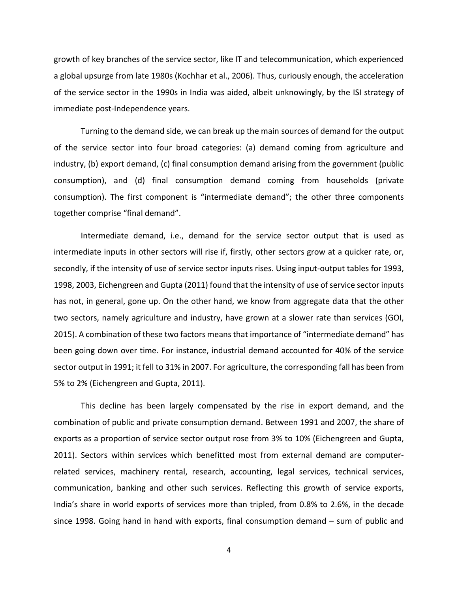growth of key branches of the service sector, like IT and telecommunication, which experienced a global upsurge from late 1980s (Kochhar et al., 2006). Thus, curiously enough, the acceleration of the service sector in the 1990s in India was aided, albeit unknowingly, by the ISI strategy of immediate post-Independence years.

Turning to the demand side, we can break up the main sources of demand for the output of the service sector into four broad categories: (a) demand coming from agriculture and industry, (b) export demand, (c) final consumption demand arising from the government (public consumption), and (d) final consumption demand coming from households (private consumption). The first component is "intermediate demand"; the other three components together comprise "final demand".

Intermediate demand, i.e., demand for the service sector output that is used as intermediate inputs in other sectors will rise if, firstly, other sectors grow at a quicker rate, or, secondly, if the intensity of use of service sector inputs rises. Using input-output tables for 1993, 1998, 2003, Eichengreen and Gupta (2011) found that the intensity of use of service sector inputs has not, in general, gone up. On the other hand, we know from aggregate data that the other two sectors, namely agriculture and industry, have grown at a slower rate than services (GOI, 2015). A combination of these two factors means that importance of "intermediate demand" has been going down over time. For instance, industrial demand accounted for 40% of the service sector output in 1991; it fell to 31% in 2007. For agriculture, the corresponding fall has been from 5% to 2% (Eichengreen and Gupta, 2011).

This decline has been largely compensated by the rise in export demand, and the combination of public and private consumption demand. Between 1991 and 2007, the share of exports as a proportion of service sector output rose from 3% to 10% (Eichengreen and Gupta, 2011). Sectors within services which benefitted most from external demand are computerrelated services, machinery rental, research, accounting, legal services, technical services, communication, banking and other such services. Reflecting this growth of service exports, India's share in world exports of services more than tripled, from 0.8% to 2.6%, in the decade since 1998. Going hand in hand with exports, final consumption demand – sum of public and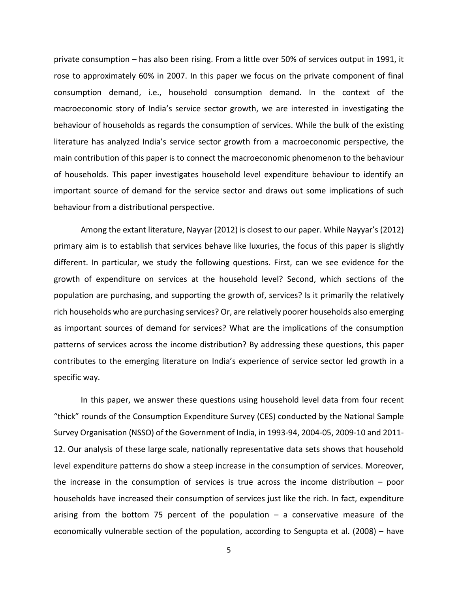private consumption – has also been rising. From a little over 50% of services output in 1991, it rose to approximately 60% in 2007. In this paper we focus on the private component of final consumption demand, i.e., household consumption demand. In the context of the macroeconomic story of India's service sector growth, we are interested in investigating the behaviour of households as regards the consumption of services. While the bulk of the existing literature has analyzed India's service sector growth from a macroeconomic perspective, the main contribution of this paper is to connect the macroeconomic phenomenon to the behaviour of households. This paper investigates household level expenditure behaviour to identify an important source of demand for the service sector and draws out some implications of such behaviour from a distributional perspective.

Among the extant literature, Nayyar (2012) is closest to our paper. While Nayyar's (2012) primary aim is to establish that services behave like luxuries, the focus of this paper is slightly different. In particular, we study the following questions. First, can we see evidence for the growth of expenditure on services at the household level? Second, which sections of the population are purchasing, and supporting the growth of, services? Is it primarily the relatively rich households who are purchasing services? Or, are relatively poorer households also emerging as important sources of demand for services? What are the implications of the consumption patterns of services across the income distribution? By addressing these questions, this paper contributes to the emerging literature on India's experience of service sector led growth in a specific way.

In this paper, we answer these questions using household level data from four recent "thick" rounds of the Consumption Expenditure Survey (CES) conducted by the National Sample Survey Organisation (NSSO) of the Government of India, in 1993-94, 2004-05, 2009-10 and 2011- 12. Our analysis of these large scale, nationally representative data sets shows that household level expenditure patterns do show a steep increase in the consumption of services. Moreover, the increase in the consumption of services is true across the income distribution – poor households have increased their consumption of services just like the rich. In fact, expenditure arising from the bottom 75 percent of the population  $-$  a conservative measure of the economically vulnerable section of the population, according to Sengupta et al. (2008) – have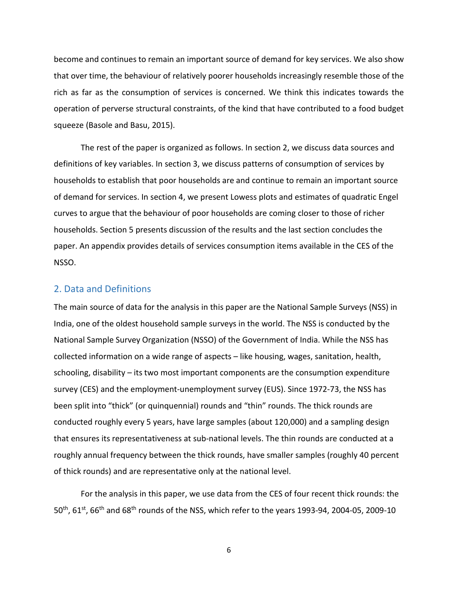become and continues to remain an important source of demand for key services. We also show that over time, the behaviour of relatively poorer households increasingly resemble those of the rich as far as the consumption of services is concerned. We think this indicates towards the operation of perverse structural constraints, of the kind that have contributed to a food budget squeeze (Basole and Basu, 2015).

The rest of the paper is organized as follows. In section 2, we discuss data sources and definitions of key variables. In section 3, we discuss patterns of consumption of services by households to establish that poor households are and continue to remain an important source of demand for services. In section 4, we present Lowess plots and estimates of quadratic Engel curves to argue that the behaviour of poor households are coming closer to those of richer households. Section 5 presents discussion of the results and the last section concludes the paper. An appendix provides details of services consumption items available in the CES of the NSSO.

#### 2. Data and Definitions

The main source of data for the analysis in this paper are the National Sample Surveys (NSS) in India, one of the oldest household sample surveys in the world. The NSS is conducted by the National Sample Survey Organization (NSSO) of the Government of India. While the NSS has collected information on a wide range of aspects – like housing, wages, sanitation, health, schooling, disability – its two most important components are the consumption expenditure survey (CES) and the employment-unemployment survey (EUS). Since 1972-73, the NSS has been split into "thick" (or quinquennial) rounds and "thin" rounds. The thick rounds are conducted roughly every 5 years, have large samples (about 120,000) and a sampling design that ensures its representativeness at sub-national levels. The thin rounds are conducted at a roughly annual frequency between the thick rounds, have smaller samples (roughly 40 percent of thick rounds) and are representative only at the national level.

For the analysis in this paper, we use data from the CES of four recent thick rounds: the 50<sup>th</sup>, 61<sup>st</sup>, 66<sup>th</sup> and 68<sup>th</sup> rounds of the NSS, which refer to the years 1993-94, 2004-05, 2009-10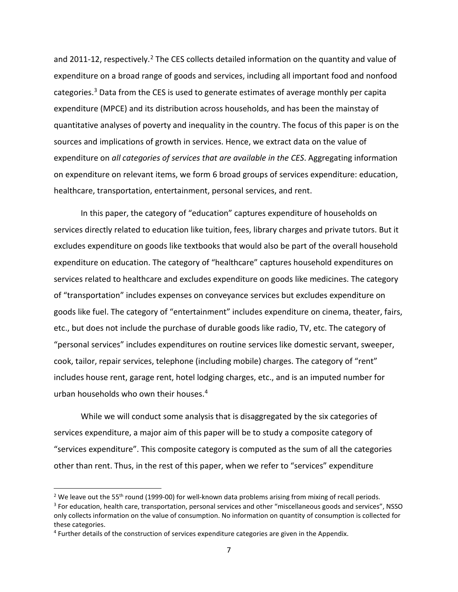and [2](#page-8-0)011-12, respectively.<sup>2</sup> The CES collects detailed information on the quantity and value of expenditure on a broad range of goods and services, including all important food and nonfood categories. $3$  Data from the CES is used to generate estimates of average monthly per capita expenditure (MPCE) and its distribution across households, and has been the mainstay of quantitative analyses of poverty and inequality in the country. The focus of this paper is on the sources and implications of growth in services. Hence, we extract data on the value of expenditure on *all categories of services that are available in the CES*. Aggregating information on expenditure on relevant items, we form 6 broad groups of services expenditure: education, healthcare, transportation, entertainment, personal services, and rent.

In this paper, the category of "education" captures expenditure of households on services directly related to education like tuition, fees, library charges and private tutors. But it excludes expenditure on goods like textbooks that would also be part of the overall household expenditure on education. The category of "healthcare" captures household expenditures on services related to healthcare and excludes expenditure on goods like medicines. The category of "transportation" includes expenses on conveyance services but excludes expenditure on goods like fuel. The category of "entertainment" includes expenditure on cinema, theater, fairs, etc., but does not include the purchase of durable goods like radio, TV, etc. The category of "personal services" includes expenditures on routine services like domestic servant, sweeper, cook, tailor, repair services, telephone (including mobile) charges. The category of "rent" includes house rent, garage rent, hotel lodging charges, etc., and is an imputed number for urban households who own their houses.[4](#page-8-2) 

While we will conduct some analysis that is disaggregated by the six categories of services expenditure, a major aim of this paper will be to study a composite category of "services expenditure". This composite category is computed as the sum of all the categories other than rent. Thus, in the rest of this paper, when we refer to "services" expenditure

<span id="page-8-0"></span><sup>&</sup>lt;sup>2</sup> We leave out the 55<sup>th</sup> round (1999-00) for well-known data problems arising from mixing of recall periods.

<span id="page-8-1"></span><sup>&</sup>lt;sup>3</sup> For education, health care, transportation, personal services and other "miscellaneous goods and services", NSSO only collects information on the value of consumption. No information on quantity of consumption is collected for these categories.

<span id="page-8-2"></span><sup>4</sup> Further details of the construction of services expenditure categories are given in the Appendix.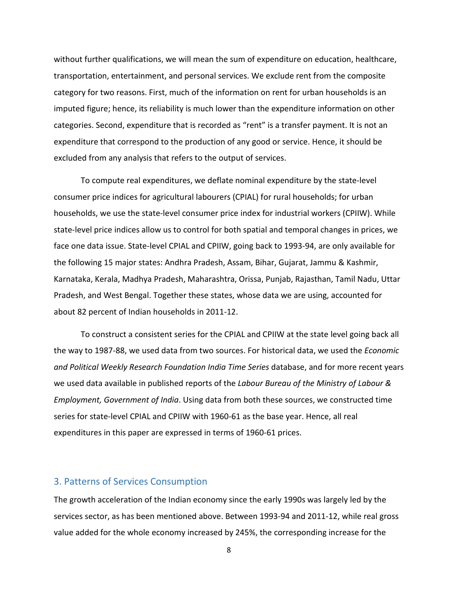without further qualifications, we will mean the sum of expenditure on education, healthcare, transportation, entertainment, and personal services. We exclude rent from the composite category for two reasons. First, much of the information on rent for urban households is an imputed figure; hence, its reliability is much lower than the expenditure information on other categories. Second, expenditure that is recorded as "rent" is a transfer payment. It is not an expenditure that correspond to the production of any good or service. Hence, it should be excluded from any analysis that refers to the output of services.

To compute real expenditures, we deflate nominal expenditure by the state-level consumer price indices for agricultural labourers (CPIAL) for rural households; for urban households, we use the state-level consumer price index for industrial workers (CPIIW). While state-level price indices allow us to control for both spatial and temporal changes in prices, we face one data issue. State-level CPIAL and CPIIW, going back to 1993-94, are only available for the following 15 major states: Andhra Pradesh, Assam, Bihar, Gujarat, Jammu & Kashmir, Karnataka, Kerala, Madhya Pradesh, Maharashtra, Orissa, Punjab, Rajasthan, Tamil Nadu, Uttar Pradesh, and West Bengal. Together these states, whose data we are using, accounted for about 82 percent of Indian households in 2011-12.

To construct a consistent series for the CPIAL and CPIIW at the state level going back all the way to 1987-88, we used data from two sources. For historical data, we used the *Economic and Political Weekly Research Foundation India Time Series* database, and for more recent years we used data available in published reports of the *Labour Bureau of the Ministry of Labour & Employment, Government of India*. Using data from both these sources, we constructed time series for state-level CPIAL and CPIIW with 1960-61 as the base year. Hence, all real expenditures in this paper are expressed in terms of 1960-61 prices.

#### 3. Patterns of Services Consumption

The growth acceleration of the Indian economy since the early 1990s was largely led by the services sector, as has been mentioned above. Between 1993-94 and 2011-12, while real gross value added for the whole economy increased by 245%, the corresponding increase for the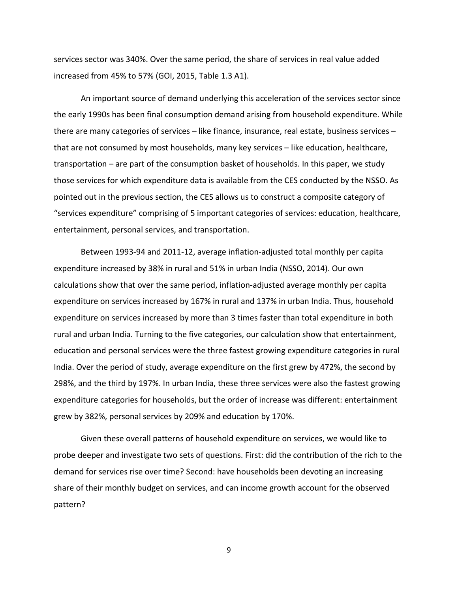services sector was 340%. Over the same period, the share of services in real value added increased from 45% to 57% (GOI, 2015, Table 1.3 A1).

An important source of demand underlying this acceleration of the services sector since the early 1990s has been final consumption demand arising from household expenditure. While there are many categories of services – like finance, insurance, real estate, business services – that are not consumed by most households, many key services – like education, healthcare, transportation – are part of the consumption basket of households. In this paper, we study those services for which expenditure data is available from the CES conducted by the NSSO. As pointed out in the previous section, the CES allows us to construct a composite category of "services expenditure" comprising of 5 important categories of services: education, healthcare, entertainment, personal services, and transportation.

Between 1993-94 and 2011-12, average inflation-adjusted total monthly per capita expenditure increased by 38% in rural and 51% in urban India (NSSO, 2014). Our own calculations show that over the same period, inflation-adjusted average monthly per capita expenditure on services increased by 167% in rural and 137% in urban India. Thus, household expenditure on services increased by more than 3 times faster than total expenditure in both rural and urban India. Turning to the five categories, our calculation show that entertainment, education and personal services were the three fastest growing expenditure categories in rural India. Over the period of study, average expenditure on the first grew by 472%, the second by 298%, and the third by 197%. In urban India, these three services were also the fastest growing expenditure categories for households, but the order of increase was different: entertainment grew by 382%, personal services by 209% and education by 170%.

Given these overall patterns of household expenditure on services, we would like to probe deeper and investigate two sets of questions. First: did the contribution of the rich to the demand for services rise over time? Second: have households been devoting an increasing share of their monthly budget on services, and can income growth account for the observed pattern?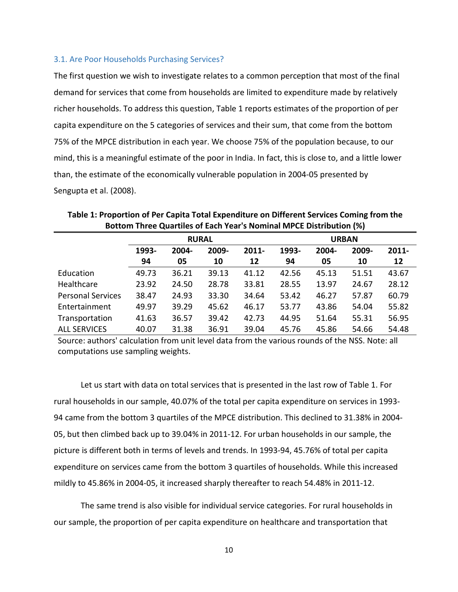#### 3.1. Are Poor Households Purchasing Services?

The first question we wish to investigate relates to a common perception that most of the final demand for services that come from households are limited to expenditure made by relatively richer households. To address this question, Table 1 reports estimates of the proportion of per capita expenditure on the 5 categories of services and their sum, that come from the bottom 75% of the MPCE distribution in each year. We choose 75% of the population because, to our mind, this is a meaningful estimate of the poor in India. In fact, this is close to, and a little lower than, the estimate of the economically vulnerable population in 2004-05 presented by Sengupta et al. (2008).

|                          | <b>RURAL</b>            |       |          |       | <b>URBAN</b>   |       |       |       |  |
|--------------------------|-------------------------|-------|----------|-------|----------------|-------|-------|-------|--|
|                          | 1993-<br>2009-<br>2004- |       | $2011 -$ | 1993- | 2004-<br>2009- |       |       |       |  |
|                          | 94                      | 05    | 10       | 12    | 94             | 05    | 10    | 12    |  |
| Education                | 49.73                   | 36.21 | 39.13    | 41.12 | 42.56          | 45.13 | 51.51 | 43.67 |  |
| Healthcare               | 23.92                   | 24.50 | 28.78    | 33.81 | 28.55          | 13.97 | 24.67 | 28.12 |  |
| <b>Personal Services</b> | 38.47                   | 24.93 | 33.30    | 34.64 | 53.42          | 46.27 | 57.87 | 60.79 |  |
| Entertainment            | 49.97                   | 39.29 | 45.62    | 46.17 | 53.77          | 43.86 | 54.04 | 55.82 |  |
| Transportation           | 41.63                   | 36.57 | 39.42    | 42.73 | 44.95          | 51.64 | 55.31 | 56.95 |  |
| <b>ALL SERVICES</b>      | 40.07                   | 31.38 | 36.91    | 39.04 | 45.76          | 45.86 | 54.66 | 54.48 |  |

**Table 1: Proportion of Per Capita Total Expenditure on Different Services Coming from the Bottom Three Quartiles of Each Year's Nominal MPCE Distribution (%)**

Source: authors' calculation from unit level data from the various rounds of the NSS. Note: all computations use sampling weights.

Let us start with data on total services that is presented in the last row of Table 1. For rural households in our sample, 40.07% of the total per capita expenditure on services in 1993- 94 came from the bottom 3 quartiles of the MPCE distribution. This declined to 31.38% in 2004- 05, but then climbed back up to 39.04% in 2011-12. For urban households in our sample, the picture is different both in terms of levels and trends. In 1993-94, 45.76% of total per capita expenditure on services came from the bottom 3 quartiles of households. While this increased mildly to 45.86% in 2004-05, it increased sharply thereafter to reach 54.48% in 2011-12.

The same trend is also visible for individual service categories. For rural households in our sample, the proportion of per capita expenditure on healthcare and transportation that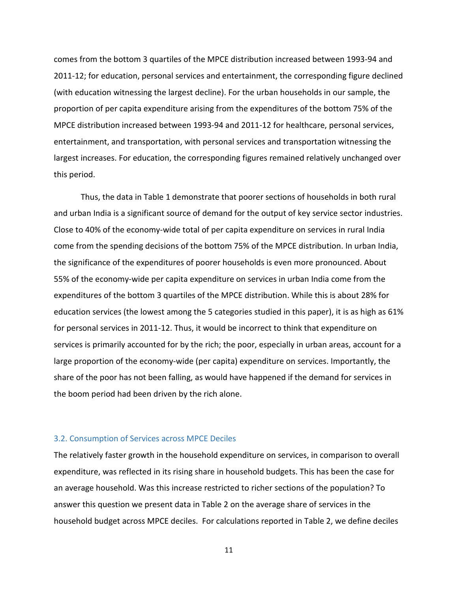comes from the bottom 3 quartiles of the MPCE distribution increased between 1993-94 and 2011-12; for education, personal services and entertainment, the corresponding figure declined (with education witnessing the largest decline). For the urban households in our sample, the proportion of per capita expenditure arising from the expenditures of the bottom 75% of the MPCE distribution increased between 1993-94 and 2011-12 for healthcare, personal services, entertainment, and transportation, with personal services and transportation witnessing the largest increases. For education, the corresponding figures remained relatively unchanged over this period.

Thus, the data in Table 1 demonstrate that poorer sections of households in both rural and urban India is a significant source of demand for the output of key service sector industries. Close to 40% of the economy-wide total of per capita expenditure on services in rural India come from the spending decisions of the bottom 75% of the MPCE distribution. In urban India, the significance of the expenditures of poorer households is even more pronounced. About 55% of the economy-wide per capita expenditure on services in urban India come from the expenditures of the bottom 3 quartiles of the MPCE distribution. While this is about 28% for education services (the lowest among the 5 categories studied in this paper), it is as high as 61% for personal services in 2011-12. Thus, it would be incorrect to think that expenditure on services is primarily accounted for by the rich; the poor, especially in urban areas, account for a large proportion of the economy-wide (per capita) expenditure on services. Importantly, the share of the poor has not been falling, as would have happened if the demand for services in the boom period had been driven by the rich alone.

#### 3.2. Consumption of Services across MPCE Deciles

The relatively faster growth in the household expenditure on services, in comparison to overall expenditure, was reflected in its rising share in household budgets. This has been the case for an average household. Was this increase restricted to richer sections of the population? To answer this question we present data in Table 2 on the average share of services in the household budget across MPCE deciles. For calculations reported in Table 2, we define deciles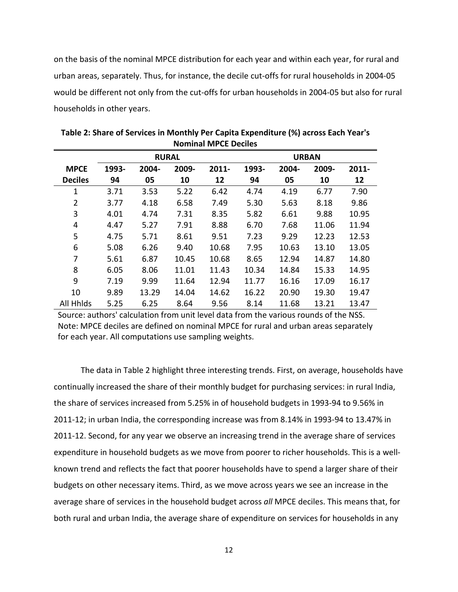on the basis of the nominal MPCE distribution for each year and within each year, for rural and urban areas, separately. Thus, for instance, the decile cut-offs for rural households in 2004-05 would be different not only from the cut-offs for urban households in 2004-05 but also for rural households in other years.

|                  | <b>RURAL</b> |       |       |          | <b>URBAN</b> |       |       |          |  |
|------------------|--------------|-------|-------|----------|--------------|-------|-------|----------|--|
| <b>MPCE</b>      | 1993-        | 2004- | 2009- | $2011 -$ | 1993-        | 2004- | 2009- | $2011 -$ |  |
| <b>Deciles</b>   | 94           | 05    | 10    | 12       | 94           | 05    | 10    | 12       |  |
| $\mathbf{1}$     | 3.71         | 3.53  | 5.22  | 6.42     | 4.74         | 4.19  | 6.77  | 7.90     |  |
| 2                | 3.77         | 4.18  | 6.58  | 7.49     | 5.30         | 5.63  | 8.18  | 9.86     |  |
| 3                | 4.01         | 4.74  | 7.31  | 8.35     | 5.82         | 6.61  | 9.88  | 10.95    |  |
| 4                | 4.47         | 5.27  | 7.91  | 8.88     | 6.70         | 7.68  | 11.06 | 11.94    |  |
| 5                | 4.75         | 5.71  | 8.61  | 9.51     | 7.23         | 9.29  | 12.23 | 12.53    |  |
| 6                | 5.08         | 6.26  | 9.40  | 10.68    | 7.95         | 10.63 | 13.10 | 13.05    |  |
| 7                | 5.61         | 6.87  | 10.45 | 10.68    | 8.65         | 12.94 | 14.87 | 14.80    |  |
| 8                | 6.05         | 8.06  | 11.01 | 11.43    | 10.34        | 14.84 | 15.33 | 14.95    |  |
| 9                | 7.19         | 9.99  | 11.64 | 12.94    | 11.77        | 16.16 | 17.09 | 16.17    |  |
| 10               | 9.89         | 13.29 | 14.04 | 14.62    | 16.22        | 20.90 | 19.30 | 19.47    |  |
| <b>All Hhlds</b> | 5.25         | 6.25  | 8.64  | 9.56     | 8.14         | 11.68 | 13.21 | 13.47    |  |

**Table 2: Share of Services in Monthly Per Capita Expenditure (%) across Each Year's Nominal MPCE Deciles**

Source: authors' calculation from unit level data from the various rounds of the NSS. Note: MPCE deciles are defined on nominal MPCE for rural and urban areas separately for each year. All computations use sampling weights.

The data in Table 2 highlight three interesting trends. First, on average, households have continually increased the share of their monthly budget for purchasing services: in rural India, the share of services increased from 5.25% in of household budgets in 1993-94 to 9.56% in 2011-12; in urban India, the corresponding increase was from 8.14% in 1993-94 to 13.47% in 2011-12. Second, for any year we observe an increasing trend in the average share of services expenditure in household budgets as we move from poorer to richer households. This is a wellknown trend and reflects the fact that poorer households have to spend a larger share of their budgets on other necessary items. Third, as we move across years we see an increase in the average share of services in the household budget across *all* MPCE deciles. This means that, for both rural and urban India, the average share of expenditure on services for households in any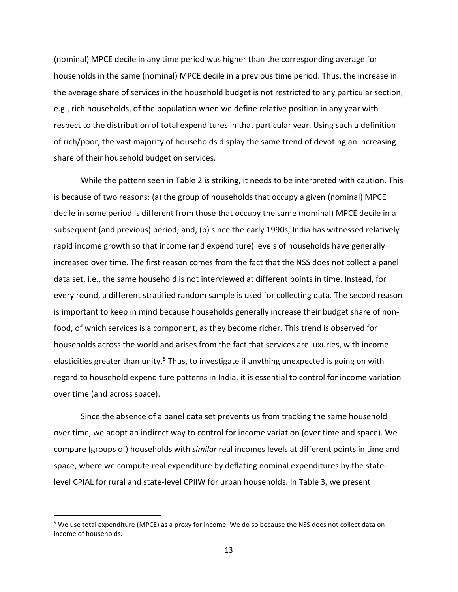(nominal) MPCE decile in any time period was higher than the corresponding average for households in the same (nominal) MPCE decile in a previous time period. Thus, the increase in the average share of services in the household budget is not restricted to any particular section, e.g., rich households, of the population when we define relative position in any year with respect to the distribution of total expenditures in that particular year. Using such a definition of rich/poor, the vast majority of households display the same trend of devoting an increasing share of their household budget on services.

While the pattern seen in Table 2 is striking, it needs to be interpreted with caution. This is because of two reasons: (a) the group of households that occupy a given (nominal) MPCE decile in some period is different from those that occupy the same (nominal) MPCE decile in a subsequent (and previous) period; and, (b) since the early 1990s, India has witnessed relatively rapid income growth so that income (and expenditure) levels of households have generally increased over time. The first reason comes from the fact that the NSS does not collect a panel data set, i.e., the same household is not interviewed at different points in time. Instead, for every round, a different stratified random sample is used for collecting data. The second reason is important to keep in mind because households generally increase their budget share of nonfood, of which services is a component, as they become richer. This trend is observed for households across the world and arises from the fact that services are luxuries, with income elasticities greater than unity.<sup>[5](#page-14-0)</sup> Thus, to investigate if anything unexpected is going on with regard to household expenditure patterns in India, it is essential to control for income variation over time (and across space).

Since the absence of a panel data set prevents us from tracking the same household over time, we adopt an indirect way to control for income variation (over time and space). We compare (groups of) households with *similar* real incomes levels at different points in time and space, where we compute real expenditure by deflating nominal expenditures by the statelevel CPIAL for rural and state-level CPIIW for urban households. In Table 3, we present

<span id="page-14-0"></span> <sup>5</sup> We use total expenditure (MPCE) as a proxy for income. We do so because the NSS does not collect data on income of households.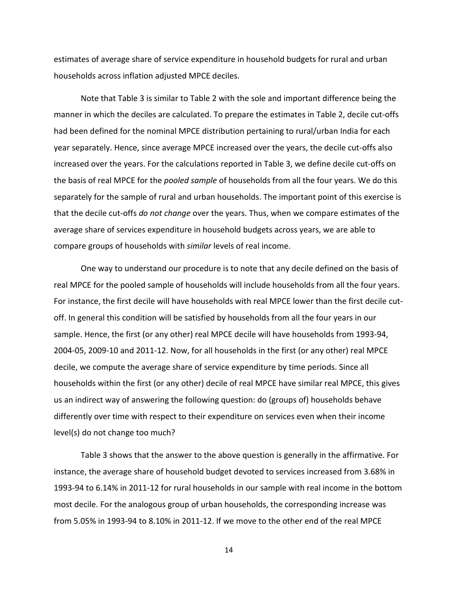estimates of average share of service expenditure in household budgets for rural and urban households across inflation adjusted MPCE deciles.

Note that Table 3 is similar to Table 2 with the sole and important difference being the manner in which the deciles are calculated. To prepare the estimates in Table 2, decile cut-offs had been defined for the nominal MPCE distribution pertaining to rural/urban India for each year separately. Hence, since average MPCE increased over the years, the decile cut-offs also increased over the years. For the calculations reported in Table 3, we define decile cut-offs on the basis of real MPCE for the *pooled sample* of households from all the four years. We do this separately for the sample of rural and urban households. The important point of this exercise is that the decile cut-offs *do not change* over the years. Thus, when we compare estimates of the average share of services expenditure in household budgets across years, we are able to compare groups of households with *similar* levels of real income.

One way to understand our procedure is to note that any decile defined on the basis of real MPCE for the pooled sample of households will include households from all the four years. For instance, the first decile will have households with real MPCE lower than the first decile cutoff. In general this condition will be satisfied by households from all the four years in our sample. Hence, the first (or any other) real MPCE decile will have households from 1993-94, 2004-05, 2009-10 and 2011-12. Now, for all households in the first (or any other) real MPCE decile, we compute the average share of service expenditure by time periods. Since all households within the first (or any other) decile of real MPCE have similar real MPCE, this gives us an indirect way of answering the following question: do (groups of) households behave differently over time with respect to their expenditure on services even when their income level(s) do not change too much?

Table 3 shows that the answer to the above question is generally in the affirmative. For instance, the average share of household budget devoted to services increased from 3.68% in 1993-94 to 6.14% in 2011-12 for rural households in our sample with real income in the bottom most decile. For the analogous group of urban households, the corresponding increase was from 5.05% in 1993-94 to 8.10% in 2011-12. If we move to the other end of the real MPCE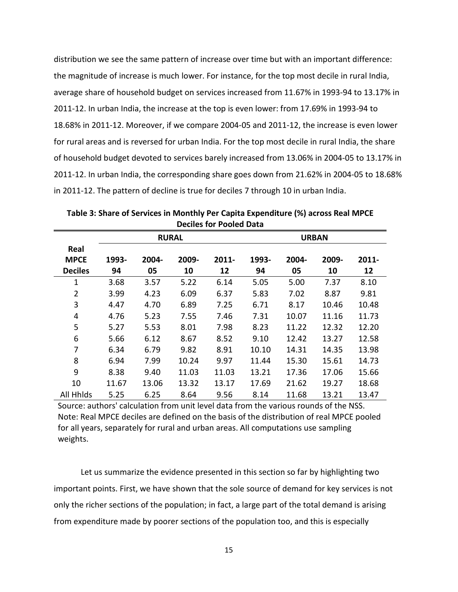distribution we see the same pattern of increase over time but with an important difference: the magnitude of increase is much lower. For instance, for the top most decile in rural India, average share of household budget on services increased from 11.67% in 1993-94 to 13.17% in 2011-12. In urban India, the increase at the top is even lower: from 17.69% in 1993-94 to 18.68% in 2011-12. Moreover, if we compare 2004-05 and 2011-12, the increase is even lower for rural areas and is reversed for urban India. For the top most decile in rural India, the share of household budget devoted to services barely increased from 13.06% in 2004-05 to 13.17% in 2011-12. In urban India, the corresponding share goes down from 21.62% in 2004-05 to 18.68% in 2011-12. The pattern of decline is true for deciles 7 through 10 in urban India.

|                     |       |       | <b>RURAL</b> |       | <b>URBAN</b> |       |       |       |
|---------------------|-------|-------|--------------|-------|--------------|-------|-------|-------|
| Real<br><b>MPCE</b> | 1993- | 2004- | 2009-        | 2011- | 1993-        | 2004- | 2009- | 2011- |
| <b>Deciles</b>      | 94    | 05    | 10           | 12    | 94           | 05    | 10    | 12    |
| 1                   | 3.68  | 3.57  | 5.22         | 6.14  | 5.05         | 5.00  | 7.37  | 8.10  |
| $\overline{2}$      | 3.99  | 4.23  | 6.09         | 6.37  | 5.83         | 7.02  | 8.87  | 9.81  |
| 3                   | 4.47  | 4.70  | 6.89         | 7.25  | 6.71         | 8.17  | 10.46 | 10.48 |
| 4                   | 4.76  | 5.23  | 7.55         | 7.46  | 7.31         | 10.07 | 11.16 | 11.73 |
| 5                   | 5.27  | 5.53  | 8.01         | 7.98  | 8.23         | 11.22 | 12.32 | 12.20 |
| 6                   | 5.66  | 6.12  | 8.67         | 8.52  | 9.10         | 12.42 | 13.27 | 12.58 |
| 7                   | 6.34  | 6.79  | 9.82         | 8.91  | 10.10        | 14.31 | 14.35 | 13.98 |
| 8                   | 6.94  | 7.99  | 10.24        | 9.97  | 11.44        | 15.30 | 15.61 | 14.73 |
| 9                   | 8.38  | 9.40  | 11.03        | 11.03 | 13.21        | 17.36 | 17.06 | 15.66 |
| 10                  | 11.67 | 13.06 | 13.32        | 13.17 | 17.69        | 21.62 | 19.27 | 18.68 |
| All Hhlds           | 5.25  | 6.25  | 8.64         | 9.56  | 8.14         | 11.68 | 13.21 | 13.47 |

**Table 3: Share of Services in Monthly Per Capita Expenditure (%) across Real MPCE Deciles for Pooled Data**

Source: authors' calculation from unit level data from the various rounds of the NSS. Note: Real MPCE deciles are defined on the basis of the distribution of real MPCE pooled for all years, separately for rural and urban areas. All computations use sampling weights.

Let us summarize the evidence presented in this section so far by highlighting two important points. First, we have shown that the sole source of demand for key services is not only the richer sections of the population; in fact, a large part of the total demand is arising from expenditure made by poorer sections of the population too, and this is especially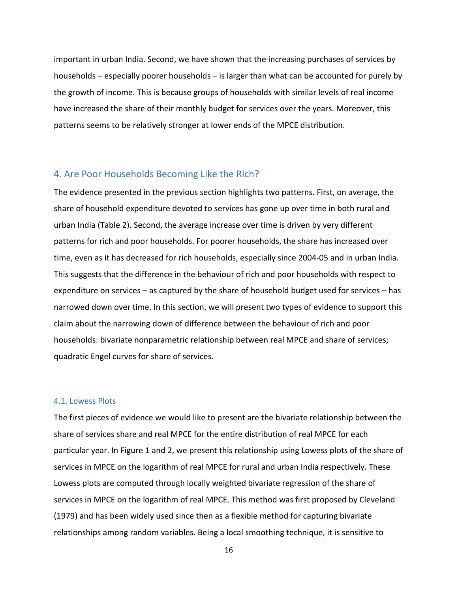important in urban India. Second, we have shown that the increasing purchases of services by households – especially poorer households – is larger than what can be accounted for purely by the growth of income. This is because groups of households with similar levels of real income have increased the share of their monthly budget for services over the years. Moreover, this patterns seems to be relatively stronger at lower ends of the MPCE distribution.

#### 4. Are Poor Households Becoming Like the Rich?

The evidence presented in the previous section highlights two patterns. First, on average, the share of household expenditure devoted to services has gone up over time in both rural and urban India (Table 2). Second, the average increase over time is driven by very different patterns for rich and poor households. For poorer households, the share has increased over time, even as it has decreased for rich households, especially since 2004-05 and in urban India. This suggests that the difference in the behaviour of rich and poor households with respect to expenditure on services – as captured by the share of household budget used for services – has narrowed down over time. In this section, we will present two types of evidence to support this claim about the narrowing down of difference between the behaviour of rich and poor households: bivariate nonparametric relationship between real MPCE and share of services; quadratic Engel curves for share of services.

#### 4.1. Lowess Plots

The first pieces of evidence we would like to present are the bivariate relationship between the share of services share and real MPCE for the entire distribution of real MPCE for each particular year. In Figure 1 and 2, we present this relationship using Lowess plots of the share of services in MPCE on the logarithm of real MPCE for rural and urban India respectively. These Lowess plots are computed through locally weighted bivariate regression of the share of services in MPCE on the logarithm of real MPCE. This method was first proposed by Cleveland (1979) and has been widely used since then as a flexible method for capturing bivariate relationships among random variables. Being a local smoothing technique, it is sensitive to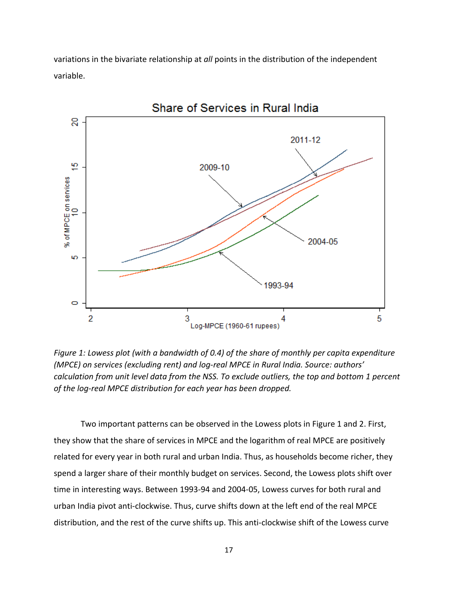variations in the bivariate relationship at *all* points in the distribution of the independent variable.



*Figure 1: Lowess plot (with a bandwidth of 0.4) of the share of monthly per capita expenditure (MPCE) on services (excluding rent) and log-real MPCE in Rural India. Source: authors' calculation from unit level data from the NSS. To exclude outliers, the top and bottom 1 percent of the log-real MPCE distribution for each year has been dropped.* 

Two important patterns can be observed in the Lowess plots in Figure 1 and 2. First, they show that the share of services in MPCE and the logarithm of real MPCE are positively related for every year in both rural and urban India. Thus, as households become richer, they spend a larger share of their monthly budget on services. Second, the Lowess plots shift over time in interesting ways. Between 1993-94 and 2004-05, Lowess curves for both rural and urban India pivot anti-clockwise. Thus, curve shifts down at the left end of the real MPCE distribution, and the rest of the curve shifts up. This anti-clockwise shift of the Lowess curve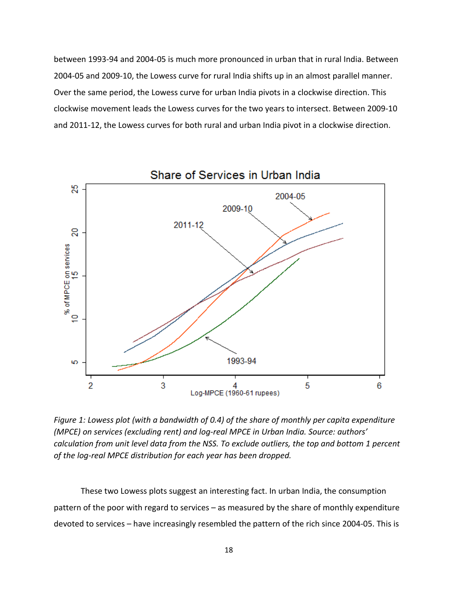between 1993-94 and 2004-05 is much more pronounced in urban that in rural India. Between 2004-05 and 2009-10, the Lowess curve for rural India shifts up in an almost parallel manner. Over the same period, the Lowess curve for urban India pivots in a clockwise direction. This clockwise movement leads the Lowess curves for the two years to intersect. Between 2009-10 and 2011-12, the Lowess curves for both rural and urban India pivot in a clockwise direction.



*Figure 1: Lowess plot (with a bandwidth of 0.4) of the share of monthly per capita expenditure (MPCE) on services (excluding rent) and log-real MPCE in Urban India. Source: authors' calculation from unit level data from the NSS. To exclude outliers, the top and bottom 1 percent of the log-real MPCE distribution for each year has been dropped.*

These two Lowess plots suggest an interesting fact. In urban India, the consumption pattern of the poor with regard to services – as measured by the share of monthly expenditure devoted to services – have increasingly resembled the pattern of the rich since 2004-05. This is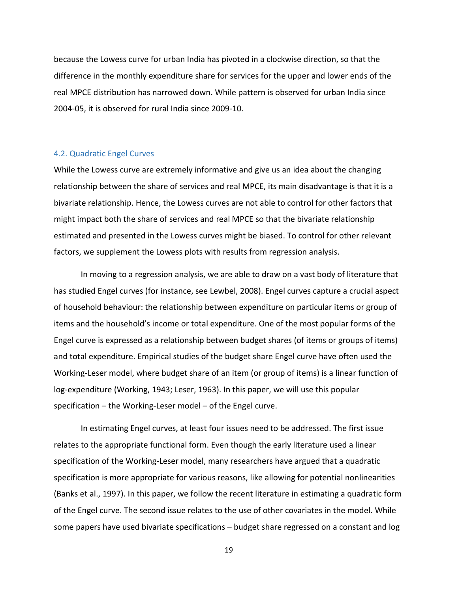because the Lowess curve for urban India has pivoted in a clockwise direction, so that the difference in the monthly expenditure share for services for the upper and lower ends of the real MPCE distribution has narrowed down. While pattern is observed for urban India since 2004-05, it is observed for rural India since 2009-10.

#### 4.2. Quadratic Engel Curves

While the Lowess curve are extremely informative and give us an idea about the changing relationship between the share of services and real MPCE, its main disadvantage is that it is a bivariate relationship. Hence, the Lowess curves are not able to control for other factors that might impact both the share of services and real MPCE so that the bivariate relationship estimated and presented in the Lowess curves might be biased. To control for other relevant factors, we supplement the Lowess plots with results from regression analysis.

In moving to a regression analysis, we are able to draw on a vast body of literature that has studied Engel curves (for instance, see Lewbel, 2008). Engel curves capture a crucial aspect of household behaviour: the relationship between expenditure on particular items or group of items and the household's income or total expenditure. One of the most popular forms of the Engel curve is expressed as a relationship between budget shares (of items or groups of items) and total expenditure. Empirical studies of the budget share Engel curve have often used the Working-Leser model, where budget share of an item (or group of items) is a linear function of log-expenditure (Working, 1943; Leser, 1963). In this paper, we will use this popular specification – the Working-Leser model – of the Engel curve.

In estimating Engel curves, at least four issues need to be addressed. The first issue relates to the appropriate functional form. Even though the early literature used a linear specification of the Working-Leser model, many researchers have argued that a quadratic specification is more appropriate for various reasons, like allowing for potential nonlinearities (Banks et al., 1997). In this paper, we follow the recent literature in estimating a quadratic form of the Engel curve. The second issue relates to the use of other covariates in the model. While some papers have used bivariate specifications – budget share regressed on a constant and log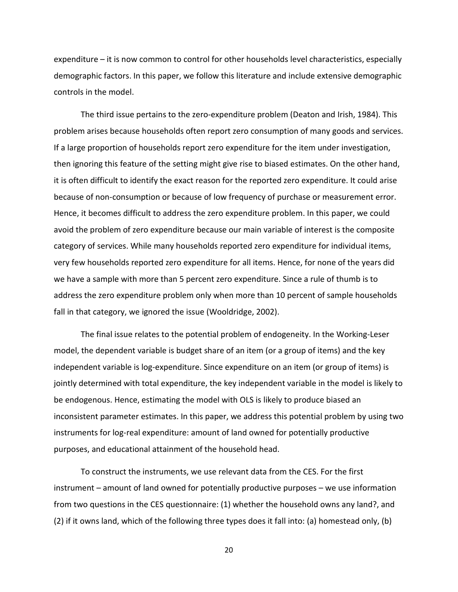expenditure – it is now common to control for other households level characteristics, especially demographic factors. In this paper, we follow this literature and include extensive demographic controls in the model.

The third issue pertains to the zero-expenditure problem (Deaton and Irish, 1984). This problem arises because households often report zero consumption of many goods and services. If a large proportion of households report zero expenditure for the item under investigation, then ignoring this feature of the setting might give rise to biased estimates. On the other hand, it is often difficult to identify the exact reason for the reported zero expenditure. It could arise because of non-consumption or because of low frequency of purchase or measurement error. Hence, it becomes difficult to address the zero expenditure problem. In this paper, we could avoid the problem of zero expenditure because our main variable of interest is the composite category of services. While many households reported zero expenditure for individual items, very few households reported zero expenditure for all items. Hence, for none of the years did we have a sample with more than 5 percent zero expenditure. Since a rule of thumb is to address the zero expenditure problem only when more than 10 percent of sample households fall in that category, we ignored the issue (Wooldridge, 2002).

The final issue relates to the potential problem of endogeneity. In the Working-Leser model, the dependent variable is budget share of an item (or a group of items) and the key independent variable is log-expenditure. Since expenditure on an item (or group of items) is jointly determined with total expenditure, the key independent variable in the model is likely to be endogenous. Hence, estimating the model with OLS is likely to produce biased an inconsistent parameter estimates. In this paper, we address this potential problem by using two instruments for log-real expenditure: amount of land owned for potentially productive purposes, and educational attainment of the household head.

To construct the instruments, we use relevant data from the CES. For the first instrument – amount of land owned for potentially productive purposes – we use information from two questions in the CES questionnaire: (1) whether the household owns any land?, and (2) if it owns land, which of the following three types does it fall into: (a) homestead only, (b)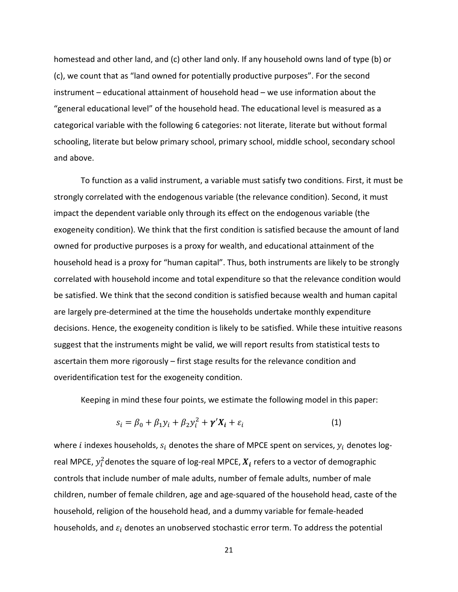homestead and other land, and (c) other land only. If any household owns land of type (b) or (c), we count that as "land owned for potentially productive purposes". For the second instrument – educational attainment of household head – we use information about the "general educational level" of the household head. The educational level is measured as a categorical variable with the following 6 categories: not literate, literate but without formal schooling, literate but below primary school, primary school, middle school, secondary school and above.

To function as a valid instrument, a variable must satisfy two conditions. First, it must be strongly correlated with the endogenous variable (the relevance condition). Second, it must impact the dependent variable only through its effect on the endogenous variable (the exogeneity condition). We think that the first condition is satisfied because the amount of land owned for productive purposes is a proxy for wealth, and educational attainment of the household head is a proxy for "human capital". Thus, both instruments are likely to be strongly correlated with household income and total expenditure so that the relevance condition would be satisfied. We think that the second condition is satisfied because wealth and human capital are largely pre-determined at the time the households undertake monthly expenditure decisions. Hence, the exogeneity condition is likely to be satisfied. While these intuitive reasons suggest that the instruments might be valid, we will report results from statistical tests to ascertain them more rigorously – first stage results for the relevance condition and overidentification test for the exogeneity condition.

Keeping in mind these four points, we estimate the following model in this paper:

$$
s_i = \beta_0 + \beta_1 y_i + \beta_2 y_i^2 + \gamma' X_i + \varepsilon_i \tag{1}
$$

where *i* indexes households,  $s_i$  denotes the share of MPCE spent on services,  $y_i$  denotes logreal MPCE,  $y_i^2$ denotes the square of log-real MPCE,  $\boldsymbol{X_i}$  refers to a vector of demographic controls that include number of male adults, number of female adults, number of male children, number of female children, age and age-squared of the household head, caste of the household, religion of the household head, and a dummy variable for female-headed households, and  $\varepsilon_i$  denotes an unobserved stochastic error term. To address the potential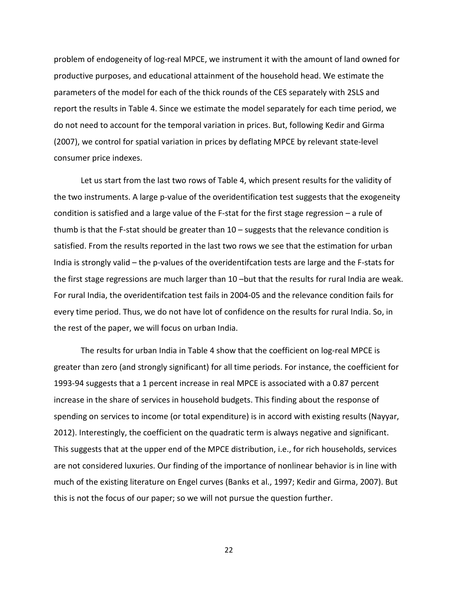problem of endogeneity of log-real MPCE, we instrument it with the amount of land owned for productive purposes, and educational attainment of the household head. We estimate the parameters of the model for each of the thick rounds of the CES separately with 2SLS and report the results in Table 4. Since we estimate the model separately for each time period, we do not need to account for the temporal variation in prices. But, following Kedir and Girma (2007), we control for spatial variation in prices by deflating MPCE by relevant state-level consumer price indexes.

Let us start from the last two rows of Table 4, which present results for the validity of the two instruments. A large p-value of the overidentification test suggests that the exogeneity condition is satisfied and a large value of the F-stat for the first stage regression – a rule of thumb is that the F-stat should be greater than 10 – suggests that the relevance condition is satisfied. From the results reported in the last two rows we see that the estimation for urban India is strongly valid – the p-values of the overidentifcation tests are large and the F-stats for the first stage regressions are much larger than 10 –but that the results for rural India are weak. For rural India, the overidentifcation test fails in 2004-05 and the relevance condition fails for every time period. Thus, we do not have lot of confidence on the results for rural India. So, in the rest of the paper, we will focus on urban India.

The results for urban India in Table 4 show that the coefficient on log-real MPCE is greater than zero (and strongly significant) for all time periods. For instance, the coefficient for 1993-94 suggests that a 1 percent increase in real MPCE is associated with a 0.87 percent increase in the share of services in household budgets. This finding about the response of spending on services to income (or total expenditure) is in accord with existing results (Nayyar, 2012). Interestingly, the coefficient on the quadratic term is always negative and significant. This suggests that at the upper end of the MPCE distribution, i.e., for rich households, services are not considered luxuries. Our finding of the importance of nonlinear behavior is in line with much of the existing literature on Engel curves (Banks et al., 1997; Kedir and Girma, 2007). But this is not the focus of our paper; so we will not pursue the question further.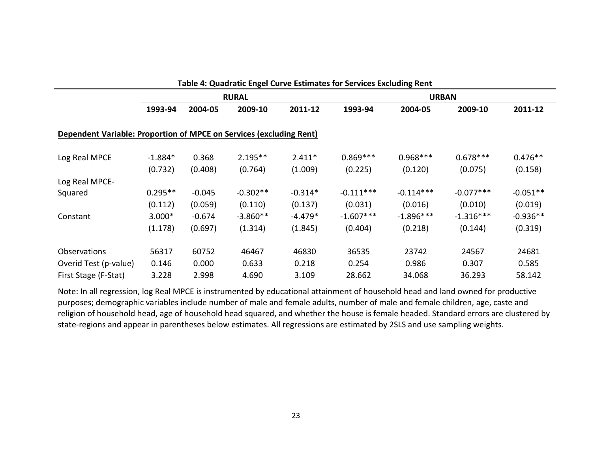| Table 4: Quadratic Engel Curve Estimates for Services Excluding Rent |              |          |            |           |             |             |             |            |
|----------------------------------------------------------------------|--------------|----------|------------|-----------|-------------|-------------|-------------|------------|
|                                                                      | <b>RURAL</b> |          |            |           |             |             |             |            |
|                                                                      | 1993-94      | 2004-05  | 2009-10    | 2011-12   | 1993-94     | 2004-05     | 2009-10     | 2011-12    |
| Dependent Variable: Proportion of MPCE on Services (excluding Rent)  |              |          |            |           |             |             |             |            |
| Log Real MPCE                                                        | $-1.884*$    | 0.368    | $2.195**$  | $2.411*$  | $0.869***$  | $0.968***$  | $0.678***$  | $0.476**$  |
|                                                                      | (0.732)      | (0.408)  | (0.764)    | (1.009)   | (0.225)     | (0.120)     | (0.075)     | (0.158)    |
| Log Real MPCE-                                                       |              |          |            |           |             |             |             |            |
| Squared                                                              | $0.295**$    | $-0.045$ | $-0.302**$ | $-0.314*$ | $-0.111***$ | $-0.114***$ | $-0.077***$ | $-0.051**$ |
|                                                                      | (0.112)      | (0.059)  | (0.110)    | (0.137)   | (0.031)     | (0.016)     | (0.010)     | (0.019)    |
| Constant                                                             | 3.000*       | $-0.674$ | $-3.860**$ | $-4.479*$ | $-1.607***$ | $-1.896***$ | $-1.316***$ | $-0.936**$ |
|                                                                      | (1.178)      | (0.697)  | (1.314)    | (1.845)   | (0.404)     | (0.218)     | (0.144)     | (0.319)    |
| Observations                                                         | 56317        | 60752    | 46467      | 46830     | 36535       | 23742       | 24567       | 24681      |
| Overid Test (p-value)                                                | 0.146        | 0.000    | 0.633      | 0.218     | 0.254       | 0.986       | 0.307       | 0.585      |
| First Stage (F-Stat)                                                 | 3.228        | 2.998    | 4.690      | 3.109     | 28.662      | 34.068      | 36.293      | 58.142     |

Note: In all regression, log Real MPCE is instrumented by educational attainment of household head and land owned for productive purposes; demographic variables include number of male and female adults, number of male and female children, age, caste and religion of household head, age of household head squared, and whether the house is female headed. Standard errors are clustered by state-regions and appear in parentheses below estimates. All regressions are estimated by 2SLS and use sampling weights.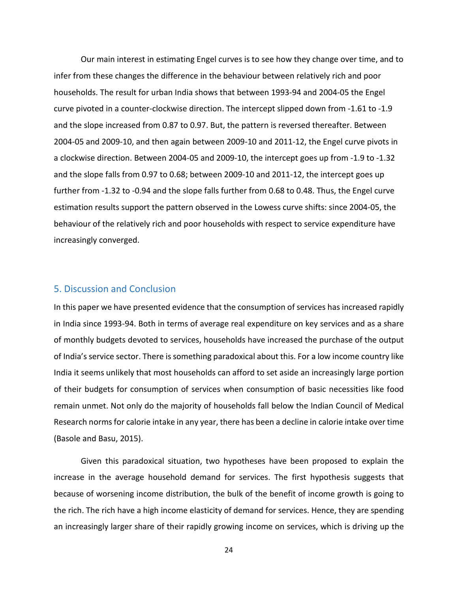Our main interest in estimating Engel curves is to see how they change over time, and to infer from these changes the difference in the behaviour between relatively rich and poor households. The result for urban India shows that between 1993-94 and 2004-05 the Engel curve pivoted in a counter-clockwise direction. The intercept slipped down from -1.61 to -1.9 and the slope increased from 0.87 to 0.97. But, the pattern is reversed thereafter. Between 2004-05 and 2009-10, and then again between 2009-10 and 2011-12, the Engel curve pivots in a clockwise direction. Between 2004-05 and 2009-10, the intercept goes up from -1.9 to -1.32 and the slope falls from 0.97 to 0.68; between 2009-10 and 2011-12, the intercept goes up further from -1.32 to -0.94 and the slope falls further from 0.68 to 0.48. Thus, the Engel curve estimation results support the pattern observed in the Lowess curve shifts: since 2004-05, the behaviour of the relatively rich and poor households with respect to service expenditure have increasingly converged.

#### 5. Discussion and Conclusion

In this paper we have presented evidence that the consumption of services has increased rapidly in India since 1993-94. Both in terms of average real expenditure on key services and as a share of monthly budgets devoted to services, households have increased the purchase of the output of India's service sector. There is something paradoxical about this. For a low income country like India it seems unlikely that most households can afford to set aside an increasingly large portion of their budgets for consumption of services when consumption of basic necessities like food remain unmet. Not only do the majority of households fall below the Indian Council of Medical Research norms for calorie intake in any year, there has been a decline in calorie intake over time (Basole and Basu, 2015).

Given this paradoxical situation, two hypotheses have been proposed to explain the increase in the average household demand for services. The first hypothesis suggests that because of worsening income distribution, the bulk of the benefit of income growth is going to the rich. The rich have a high income elasticity of demand for services. Hence, they are spending an increasingly larger share of their rapidly growing income on services, which is driving up the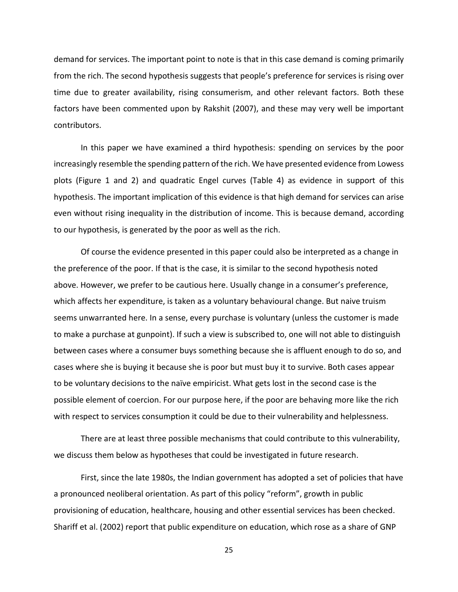demand for services. The important point to note is that in this case demand is coming primarily from the rich. The second hypothesis suggests that people's preference for services is rising over time due to greater availability, rising consumerism, and other relevant factors. Both these factors have been commented upon by Rakshit (2007), and these may very well be important contributors.

In this paper we have examined a third hypothesis: spending on services by the poor increasingly resemble the spending pattern of the rich. We have presented evidence from Lowess plots (Figure 1 and 2) and quadratic Engel curves (Table 4) as evidence in support of this hypothesis. The important implication of this evidence is that high demand for services can arise even without rising inequality in the distribution of income. This is because demand, according to our hypothesis, is generated by the poor as well as the rich.

Of course the evidence presented in this paper could also be interpreted as a change in the preference of the poor. If that is the case, it is similar to the second hypothesis noted above. However, we prefer to be cautious here. Usually change in a consumer's preference, which affects her expenditure, is taken as a voluntary behavioural change. But naive truism seems unwarranted here. In a sense, every purchase is voluntary (unless the customer is made to make a purchase at gunpoint). If such a view is subscribed to, one will not able to distinguish between cases where a consumer buys something because she is affluent enough to do so, and cases where she is buying it because she is poor but must buy it to survive. Both cases appear to be voluntary decisions to the naïve empiricist. What gets lost in the second case is the possible element of coercion. For our purpose here, if the poor are behaving more like the rich with respect to services consumption it could be due to their vulnerability and helplessness.

There are at least three possible mechanisms that could contribute to this vulnerability, we discuss them below as hypotheses that could be investigated in future research.

First, since the late 1980s, the Indian government has adopted a set of policies that have a pronounced neoliberal orientation. As part of this policy "reform", growth in public provisioning of education, healthcare, housing and other essential services has been checked. Shariff et al. (2002) report that public expenditure on education, which rose as a share of GNP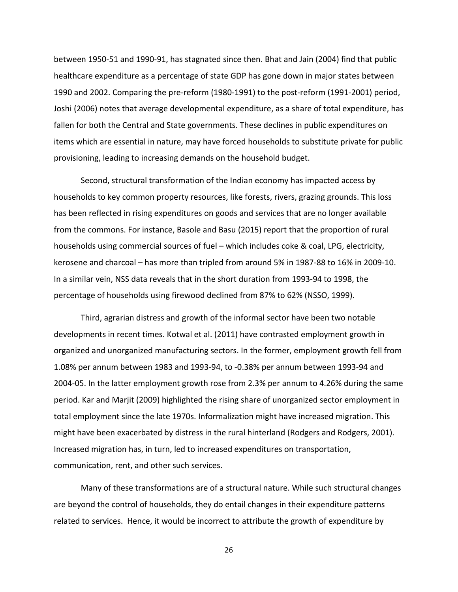between 1950-51 and 1990-91, has stagnated since then. Bhat and Jain (2004) find that public healthcare expenditure as a percentage of state GDP has gone down in major states between 1990 and 2002. Comparing the pre-reform (1980-1991) to the post-reform (1991-2001) period, Joshi (2006) notes that average developmental expenditure, as a share of total expenditure, has fallen for both the Central and State governments. These declines in public expenditures on items which are essential in nature, may have forced households to substitute private for public provisioning, leading to increasing demands on the household budget.

Second, structural transformation of the Indian economy has impacted access by households to key common property resources, like forests, rivers, grazing grounds. This loss has been reflected in rising expenditures on goods and services that are no longer available from the commons. For instance, Basole and Basu (2015) report that the proportion of rural households using commercial sources of fuel – which includes coke & coal, LPG, electricity, kerosene and charcoal – has more than tripled from around 5% in 1987-88 to 16% in 2009-10. In a similar vein, NSS data reveals that in the short duration from 1993-94 to 1998, the percentage of households using firewood declined from 87% to 62% (NSSO, 1999).

Third, agrarian distress and growth of the informal sector have been two notable developments in recent times. Kotwal et al. (2011) have contrasted employment growth in organized and unorganized manufacturing sectors. In the former, employment growth fell from 1.08% per annum between 1983 and 1993-94, to -0.38% per annum between 1993-94 and 2004-05. In the latter employment growth rose from 2.3% per annum to 4.26% during the same period. Kar and Marjit (2009) highlighted the rising share of unorganized sector employment in total employment since the late 1970s. Informalization might have increased migration. This might have been exacerbated by distress in the rural hinterland (Rodgers and Rodgers, 2001). Increased migration has, in turn, led to increased expenditures on transportation, communication, rent, and other such services.

Many of these transformations are of a structural nature. While such structural changes are beyond the control of households, they do entail changes in their expenditure patterns related to services. Hence, it would be incorrect to attribute the growth of expenditure by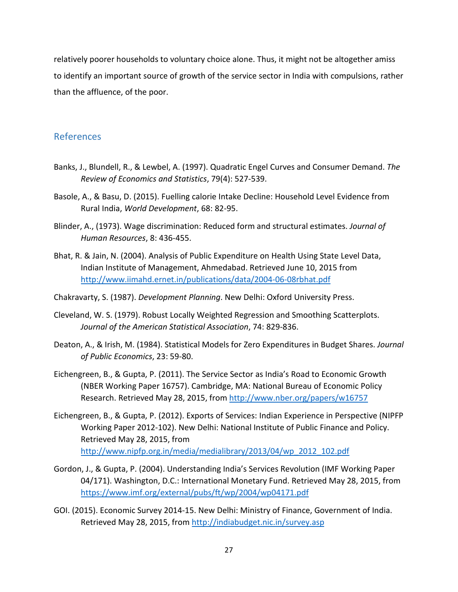relatively poorer households to voluntary choice alone. Thus, it might not be altogether amiss to identify an important source of growth of the service sector in India with compulsions, rather than the affluence, of the poor.

#### References

- Banks, J., Blundell, R., & Lewbel, A. (1997). Quadratic Engel Curves and Consumer Demand. *The Review of Economics and Statistics*, 79(4): 527-539.
- Basole, A., & Basu, D. (2015). Fuelling calorie Intake Decline: Household Level Evidence from Rural India, *World Development*, 68: 82-95.
- Blinder, A., (1973). Wage discrimination: Reduced form and structural estimates. *Journal of Human Resources*, 8: 436-455.
- Bhat, R. & Jain, N. (2004). Analysis of Public Expenditure on Health Using State Level Data, Indian Institute of Management, Ahmedabad. Retrieved June 10, 2015 from <http://www.iimahd.ernet.in/publications/data/2004-06-08rbhat.pdf>
- Chakravarty, S. (1987). *Development Planning*. New Delhi: Oxford University Press.
- Cleveland, W. S. (1979). Robust Locally Weighted Regression and Smoothing Scatterplots. *Journal of the American Statistical Association*, 74: 829-836.
- Deaton, A., & Irish, M. (1984). Statistical Models for Zero Expenditures in Budget Shares. *Journal of Public Economics*, 23: 59-80.
- Eichengreen, B., & Gupta, P. (2011). The Service Sector as India's Road to Economic Growth (NBER Working Paper 16757). Cambridge, MA: National Bureau of Economic Policy Research. Retrieved May 28, 2015, from<http://www.nber.org/papers/w16757>
- Eichengreen, B., & Gupta, P. (2012). Exports of Services: Indian Experience in Perspective (NIPFP Working Paper 2012-102). New Delhi: National Institute of Public Finance and Policy. Retrieved May 28, 2015, from [http://www.nipfp.org.in/media/medialibrary/2013/04/wp\\_2012\\_102.pdf](http://www.nipfp.org.in/media/medialibrary/2013/04/wp_2012_102.pdf)
- Gordon, J., & Gupta, P. (2004). Understanding India's Services Revolution (IMF Working Paper 04/171). Washington, D.C.: International Monetary Fund. Retrieved May 28, 2015, from <https://www.imf.org/external/pubs/ft/wp/2004/wp04171.pdf>
- GOI. (2015). Economic Survey 2014-15. New Delhi: Ministry of Finance, Government of India. Retrieved May 28, 2015, from<http://indiabudget.nic.in/survey.asp>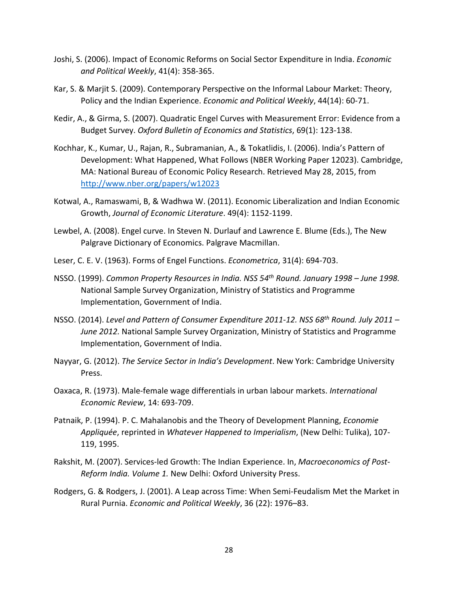- Joshi, S. (2006). Impact of Economic Reforms on Social Sector Expenditure in India. *Economic and Political Weekly*, 41(4): 358-365.
- Kar, S. & Marjit S. (2009). Contemporary Perspective on the Informal Labour Market: Theory, Policy and the Indian Experience. *Economic and Political Weekly*, 44(14): 60-71.
- Kedir, A., & Girma, S. (2007). Quadratic Engel Curves with Measurement Error: Evidence from a Budget Survey. *Oxford Bulletin of Economics and Statistics*, 69(1): 123-138.
- Kochhar, K., Kumar, U., Rajan, R., Subramanian, A., & Tokatlidis, I. (2006). India's Pattern of Development: What Happened, What Follows (NBER Working Paper 12023). Cambridge, MA: National Bureau of Economic Policy Research. Retrieved May 28, 2015, from [http://www.nber.org/papers/w12023](http://www.nber.org/papers/w120235)
- Kotwal, A., Ramaswami, B, & Wadhwa W. (2011). Economic Liberalization and Indian Economic Growth, *Journal of Economic Literature*. 49(4): 1152-1199.
- Lewbel, A. (2008). Engel curve. In Steven N. Durlauf and Lawrence E. Blume (Eds.), The New Palgrave Dictionary of Economics. Palgrave Macmillan.
- Leser, C. E. V. (1963). Forms of Engel Functions. *Econometrica*, 31(4): 694-703.
- NSSO. (1999). *Common Property Resources in India. NSS 54th Round. January 1998 – June 1998.*  National Sample Survey Organization, Ministry of Statistics and Programme Implementation, Government of India.
- NSSO. (2014). *Level and Pattern of Consumer Expenditure 2011-12. NSS 68th Round. July 2011 – June 2012.* National Sample Survey Organization, Ministry of Statistics and Programme Implementation, Government of India.
- Nayyar, G. (2012). *The Service Sector in India's Development*. New York: Cambridge University Press.
- Oaxaca, R. (1973). Male-female wage differentials in urban labour markets. *International Economic Review*, 14: 693-709.
- Patnaik, P. (1994). P. C. Mahalanobis and the Theory of Development Planning, *Economie Appliquée*, reprinted in *Whatever Happened to Imperialism*, (New Delhi: Tulika), 107- 119, 1995.
- Rakshit, M. (2007). Services-led Growth: The Indian Experience. In, *Macroeconomics of Post-Reform India. Volume 1.* New Delhi: Oxford University Press.
- Rodgers, G. & Rodgers, J. (2001). A Leap across Time: When Semi-Feudalism Met the Market in Rural Purnia. *Economic and Political Weekly*, 36 (22): 1976–83.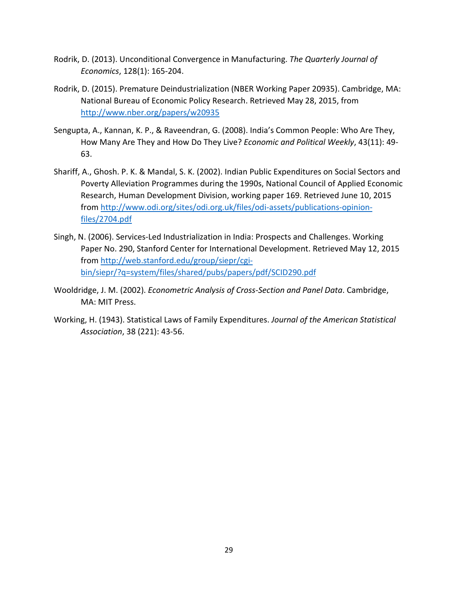- Rodrik, D. (2013). Unconditional Convergence in Manufacturing. *The Quarterly Journal of Economics*, 128(1): 165-204.
- Rodrik, D. (2015). Premature Deindustrialization (NBER Working Paper 20935). Cambridge, MA: National Bureau of Economic Policy Research. Retrieved May 28, 2015, from <http://www.nber.org/papers/w20935>
- Sengupta, A., Kannan, K. P., & Raveendran, G. (2008). India's Common People: Who Are They, How Many Are They and How Do They Live? *Economic and Political Weekly*, 43(11): 49- 63.
- Shariff, A., Ghosh. P. K. & Mandal, S. K. (2002). Indian Public Expenditures on Social Sectors and Poverty Alleviation Programmes during the 1990s, National Council of Applied Economic Research, Human Development Division, working paper 169. Retrieved June 10, 2015 from [http://www.odi.org/sites/odi.org.uk/files/odi-assets/publications-opinion](http://www.odi.org/sites/odi.org.uk/files/odi-assets/publications-opinion-files/2704.pdf)[files/2704.pdf](http://www.odi.org/sites/odi.org.uk/files/odi-assets/publications-opinion-files/2704.pdf)
- Singh, N. (2006). Services-Led Industrialization in India: Prospects and Challenges. Working Paper No. 290, Stanford Center for International Development. Retrieved May 12, 2015 from [http://web.stanford.edu/group/siepr/cgi](http://web.stanford.edu/group/siepr/cgi-bin/siepr/?q=system/files/shared/pubs/papers/pdf/SCID290.pdf)[bin/siepr/?q=system/files/shared/pubs/papers/pdf/SCID290.pdf](http://web.stanford.edu/group/siepr/cgi-bin/siepr/?q=system/files/shared/pubs/papers/pdf/SCID290.pdf)
- Wooldridge, J. M. (2002). *Econometric Analysis of Cross-Section and Panel Data*. Cambridge, MA: MIT Press.
- Working, H. (1943). Statistical Laws of Family Expenditures. *Journal of the American Statistical Association*, 38 (221): 43-56.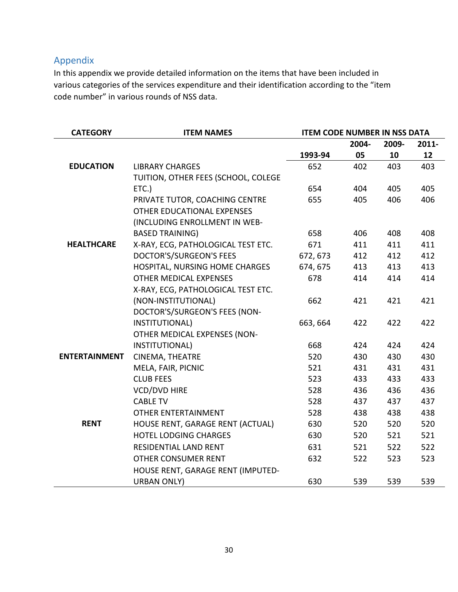### Appendix

In this appendix we provide detailed information on the items that have been included in various categories of the services expenditure and their identification according to the "item code number" in various rounds of NSS data.

| <b>CATEGORY</b>      | <b>ITEM NAMES</b>                   | <b>ITEM CODE NUMBER IN NSS DATA</b> |       |       |       |
|----------------------|-------------------------------------|-------------------------------------|-------|-------|-------|
|                      |                                     |                                     | 2004- | 2009- | 2011- |
|                      |                                     | 1993-94                             | 05    | 10    | 12    |
| <b>EDUCATION</b>     | <b>LIBRARY CHARGES</b>              | 652                                 | 402   | 403   | 403   |
|                      | TUITION, OTHER FEES (SCHOOL, COLEGE |                                     |       |       |       |
|                      | ETC.                                | 654                                 | 404   | 405   | 405   |
|                      | PRIVATE TUTOR, COACHING CENTRE      | 655                                 | 405   | 406   | 406   |
|                      | OTHER EDUCATIONAL EXPENSES          |                                     |       |       |       |
|                      | (INCLUDING ENROLLMENT IN WEB-       |                                     |       |       |       |
|                      | <b>BASED TRAINING)</b>              | 658                                 | 406   | 408   | 408   |
| <b>HEALTHCARE</b>    | X-RAY, ECG, PATHOLOGICAL TEST ETC.  | 671                                 | 411   | 411   | 411   |
|                      | <b>DOCTOR'S/SURGEON'S FEES</b>      | 672, 673                            | 412   | 412   | 412   |
|                      | HOSPITAL, NURSING HOME CHARGES      | 674, 675                            | 413   | 413   | 413   |
|                      | OTHER MEDICAL EXPENSES              | 678                                 | 414   | 414   | 414   |
|                      | X-RAY, ECG, PATHOLOGICAL TEST ETC.  |                                     |       |       |       |
|                      | (NON-INSTITUTIONAL)                 | 662                                 | 421   | 421   | 421   |
|                      | DOCTOR'S/SURGEON'S FEES (NON-       |                                     |       |       |       |
|                      | INSTITUTIONAL)                      | 663, 664                            | 422   | 422   | 422   |
|                      | OTHER MEDICAL EXPENSES (NON-        |                                     |       |       |       |
|                      | INSTITUTIONAL)                      | 668                                 | 424   | 424   | 424   |
| <b>ENTERTAINMENT</b> | CINEMA, THEATRE                     | 520                                 | 430   | 430   | 430   |
|                      | MELA, FAIR, PICNIC                  | 521                                 | 431   | 431   | 431   |
|                      | <b>CLUB FEES</b>                    | 523                                 | 433   | 433   | 433   |
|                      | <b>VCD/DVD HIRE</b>                 | 528                                 | 436   | 436   | 436   |
|                      | <b>CABLE TV</b>                     | 528                                 | 437   | 437   | 437   |
|                      | <b>OTHER ENTERTAINMENT</b>          | 528                                 | 438   | 438   | 438   |
| <b>RENT</b>          | HOUSE RENT, GARAGE RENT (ACTUAL)    | 630                                 | 520   | 520   | 520   |
|                      | <b>HOTEL LODGING CHARGES</b>        | 630                                 | 520   | 521   | 521   |
|                      | RESIDENTIAL LAND RENT               | 631                                 | 521   | 522   | 522   |
|                      | <b>OTHER CONSUMER RENT</b>          | 632                                 | 522   | 523   | 523   |
|                      | HOUSE RENT, GARAGE RENT (IMPUTED-   |                                     |       |       |       |
|                      | <b>URBAN ONLY)</b>                  | 630                                 | 539   | 539   | 539   |